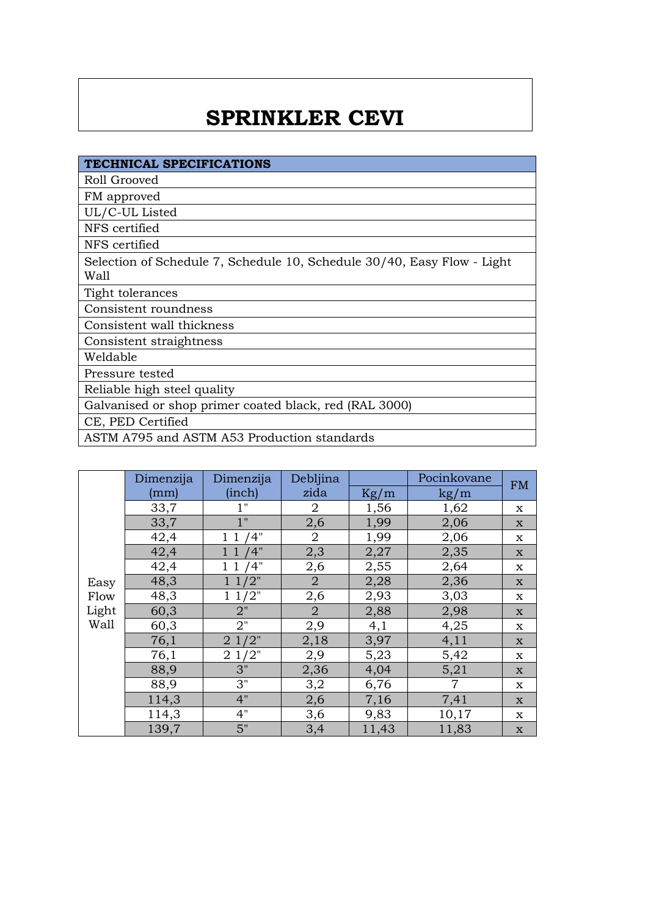## **SPRINKLER CEVI**

| TECHNICAL SPECIFICATIONS                                                        |
|---------------------------------------------------------------------------------|
| Roll Grooved                                                                    |
| FM approved                                                                     |
| UL/C-UL Listed                                                                  |
| NFS certified                                                                   |
| NFS certified                                                                   |
| Selection of Schedule 7, Schedule 10, Schedule 30/40, Easy Flow - Light<br>Wall |
| Tight tolerances                                                                |
| Consistent roundness                                                            |
| Consistent wall thickness                                                       |
| Consistent straightness                                                         |
| Weldable                                                                        |
| Pressure tested                                                                 |
| Reliable high steel quality                                                     |
| Galvanised or shop primer coated black, red (RAL 3000)                          |
| CE, PED Certified                                                               |
| ASTM A795 and ASTM A53 Production standards                                     |

|                               | Dimenzija | Dimenzija        | Debljina       |       | Pocinkovane    | <b>FM</b>   |
|-------------------------------|-----------|------------------|----------------|-------|----------------|-------------|
| Easy<br>Flow<br>Light<br>Wall | (mm)      | (inch)           | zida           | Kg/m  | $\text{kg/m}$  |             |
|                               | 33,7      | 1"               | $\overline{a}$ | 1,56  | 1,62           | x           |
|                               | 33,7      | 1"               | 2,6            | 1,99  | 2,06           | $\mathbf x$ |
|                               | 42,4      | /4"              | $\overline{2}$ | 1,99  | 2,06           | $\mathbf X$ |
|                               | 42,4      | 4"               | 2,3            | 2,27  | 2,35           | $\mathbf X$ |
|                               | 42,4      | '4"              | 2,6            | 2,55  | 2,64           | x           |
|                               | 48,3      | '2"              | $\overline{2}$ | 2,28  | 2,36           | $\mathbf X$ |
|                               | 48,3      | 11/2"            | 2,6            | 2,93  | 3,03           | X           |
|                               | 60,3      | 2"               | $\overline{2}$ | 2,88  | 2,98           | $\mathbf X$ |
|                               | 60,3      | 2"               | 2,9            | 4,1   | 4,25           | $\mathbf X$ |
|                               | 76,1      | $2\frac{1}{2}$ " | 2,18           | 3,97  | 4,11           | $\mathbf X$ |
|                               | 76,1      | 21/2"            | 2,9            | 5,23  | 5,42           | X           |
|                               | 88,9      | 3"               | 2,36           | 4,04  | 5,21           | $\mathbf X$ |
|                               | 88,9      | 3"               | 3,2            | 6,76  | $\overline{7}$ | x           |
|                               | 114,3     | 4"               | 2,6            | 7,16  | 7,41           | $\mathbf X$ |
|                               | 114,3     | 4"               | 3,6            | 9,83  | 10,17          | X           |
|                               | 139,7     | 5"               | 3,4            | 11,43 | 11,83          | $\mathbf x$ |